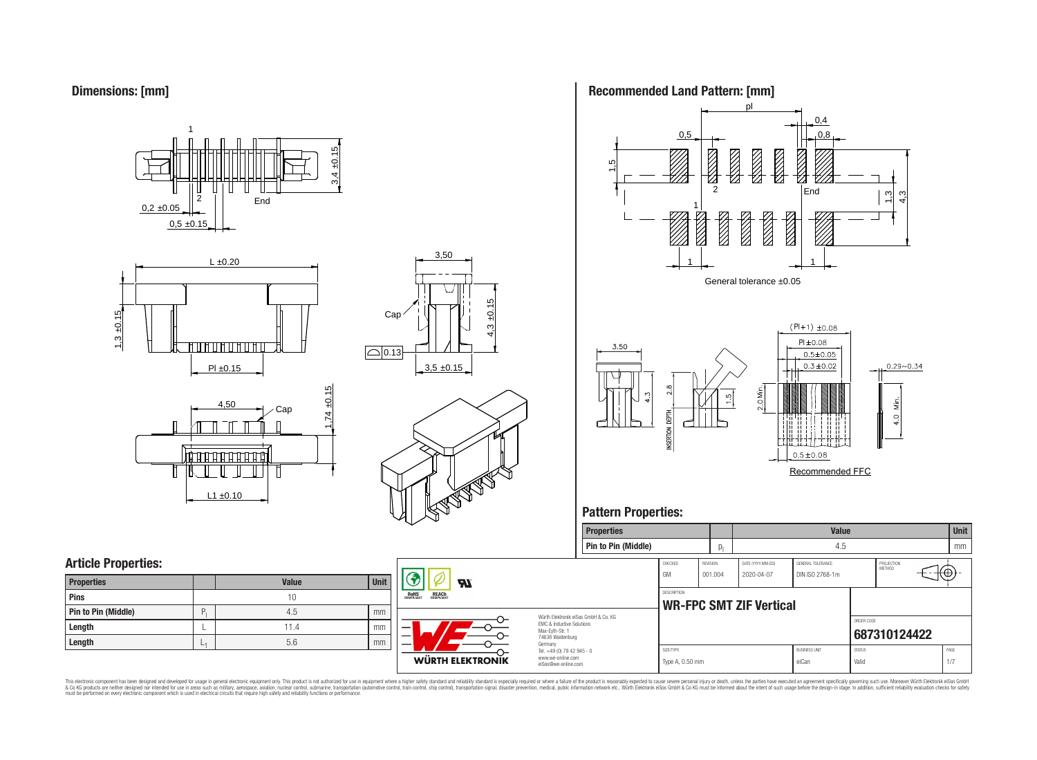**Dimensions: [mm]**









3,50



# **Article Properties:**

| <b>Properties</b>   |    | <b>Value</b> | <b>Unit</b> |
|---------------------|----|--------------|-------------|
| <b>Pins</b>         |    | 10           |             |
| Pin to Pin (Middle) | P. | 4.5          | mm          |
| Length              |    | 11.4         | mm          |
| Length              | ⊷  | 5.6          | mm          |

 $L1 \pm 0.10$ 



 $\boldsymbol{\mathcal{H}}$ 

Würth Elektronik e EMC & Inductive S Max-Eyth-Str. 1 74638 Waldenburg Germany Tel.  $+49(0)$  79 4 www.we-online.co eiSos@we-online





# **Pattern Properties:**

|              | <b>Properties</b>                |                                                      |                            |                                 | <b>Value</b>                         |               |                      | <b>Unit</b> |
|--------------|----------------------------------|------------------------------------------------------|----------------------------|---------------------------------|--------------------------------------|---------------|----------------------|-------------|
|              | Pin to Pin (Middle)              |                                                      | $p_1$                      |                                 | 4.5                                  |               |                      | mm          |
|              |                                  | CHECKED<br><b>GM</b>                                 | <b>REVISION</b><br>001.004 | DATE (YYYY-MM-DD)<br>2020-04-07 | GENERAL TOLERANCE<br>DIN ISO 2768-1m |               | PROJECTION<br>METHOD | Œ           |
|              |                                  | <b>DESCRIPTION</b><br><b>WR-FPC SMT ZIF Vertical</b> |                            |                                 |                                      |               |                      |             |
| <b>urg</b>   | eiSos GmbH & Co. KG<br>Solutions |                                                      |                            |                                 |                                      | ORDER CODE    | 687310124422         |             |
|              | $12945 - 0$                      | SIZE/TYPE                                            |                            |                                 | <b>BUSINESS UNIT</b>                 | <b>STATUS</b> |                      | PAGE        |
| com<br>moo.e |                                  | Type A, 0.50 mm                                      |                            | eiCan                           |                                      | Valid         |                      | 1/7         |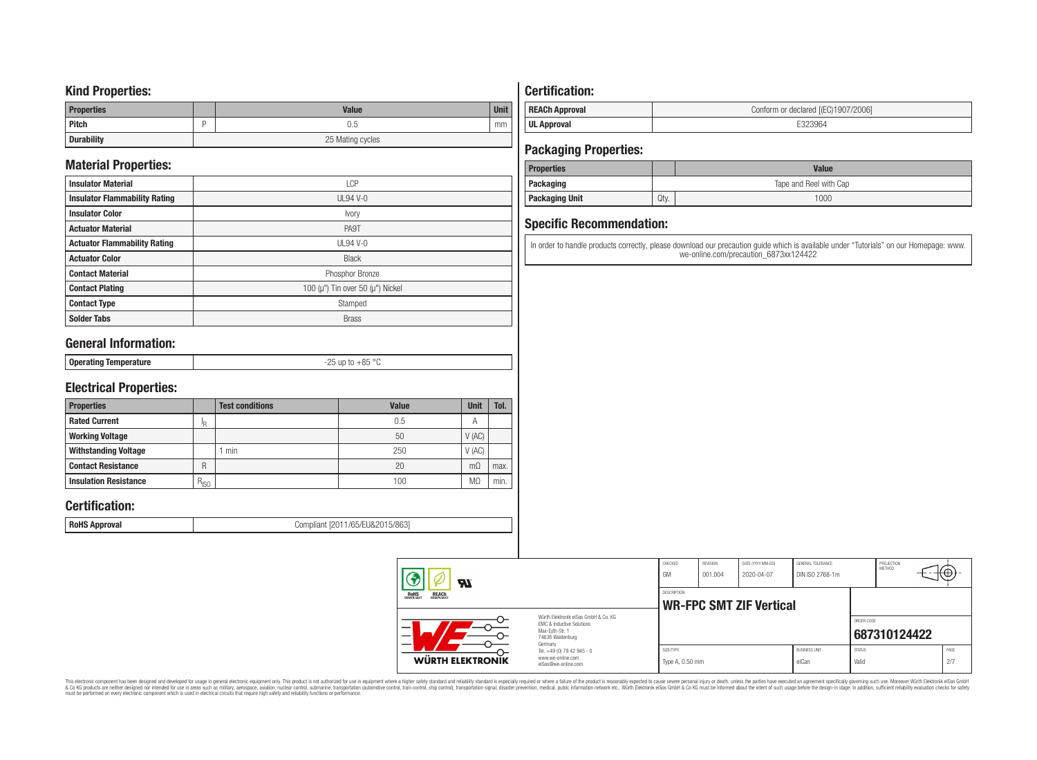## **Kind Properties:**

| <b>Properties</b> | <b>Value</b>     | <b>Unit</b> |  |  |  |
|-------------------|------------------|-------------|--|--|--|
| <b>Pitch</b>      | 0.5              | mm          |  |  |  |
| <b>Durability</b> | 25 Mating cycles |             |  |  |  |

# **Material Properties:**

| <b>Insulator Material</b>            | <b>LCP</b>                                   |
|--------------------------------------|----------------------------------------------|
| <b>Insulator Flammability Rating</b> | $UL94V-0$                                    |
| <b>Insulator Color</b>               | Ivory                                        |
| <b>Actuator Material</b>             | PA9T                                         |
| <b>Actuator Flammability Rating</b>  | <b>UL94 V-0</b>                              |
| <b>Actuator Color</b>                | <b>Black</b>                                 |
| <b>Contact Material</b>              | Phosphor Bronze                              |
| <b>Contact Plating</b>               | 100 ( $\mu$ ") Tin over 50 ( $\mu$ ") Nickel |
| <b>Contact Type</b>                  | Stamped                                      |
| <b>Solder Tabs</b>                   | <b>Brass</b>                                 |

# **General Information:**

| : Oners<br>-----------<br>. -------- <u>-</u> | 0E<br>$ -$ |
|-----------------------------------------------|------------|

# **Electrical Properties:**

| <b>Properties</b>            |           | <b>Test conditions</b> | Value | Unit           | Tol. |
|------------------------------|-----------|------------------------|-------|----------------|------|
| <b>Rated Current</b>         | םו        |                        | 0.5   | $\overline{A}$ |      |
| <b>Working Voltage</b>       |           |                        | 50    | V(AC)          |      |
| <b>Withstanding Voltage</b>  |           | min                    | 250   | V(AC)          |      |
| <b>Contact Resistance</b>    | R         |                        | 20    | $m\Omega$      | max. |
| <b>Insulation Resistance</b> | $R_{ISO}$ |                        | 100   | M <sub>2</sub> | min. |

# **Certification:**

**RoHS Approval RoHS Approval Compliant** [2011/65/EU&2015/863]

# **Certification:**

| <b>REACh Approval</b> | Conform or declared [(EC)1907/2006] |
|-----------------------|-------------------------------------|
| <b>UL Approval</b>    |                                     |

# **Packaging Properties:**

| <b>Properties</b>     |                        | Value |  |  |  |
|-----------------------|------------------------|-------|--|--|--|
| <b>Packaging</b>      | Tape and Reel with Cap |       |  |  |  |
| <b>Packaging Unit</b> | Qty.                   | 1000  |  |  |  |

# **Specific Recommendation:**

In order to handle products correctly, please download our precaution guide which is available under "Tutorials" on our Homepage: www. we-online.com/precaution\_6873xx124422

| WÜRTH ELEKTRONIK                                      | Tel. +49 (0) 79 42 945 - 0<br>www.we-online.com<br>eiSos@we-online.com | Type A, 0.50 mm |          |                                | eiCan                | Valid         |                      | 2/7         |  |
|-------------------------------------------------------|------------------------------------------------------------------------|-----------------|----------|--------------------------------|----------------------|---------------|----------------------|-------------|--|
|                                                       | 74638 Waldenburg<br>Germany                                            | SIZE/TYPE       |          |                                | <b>BUSINESS UNIT</b> | <b>STATUS</b> |                      | PAGE        |  |
|                                                       | Max-Evth-Str. 1                                                        |                 |          |                                |                      |               | 687310124422         |             |  |
|                                                       | Würth Elektronik eiSos GmbH & Co. KG<br>EMC & Inductive Solutions      |                 |          |                                |                      | ORDER CODE    |                      |             |  |
|                                                       |                                                                        |                 |          | <b>WR-FPC SMT ZIF Vertical</b> |                      |               |                      |             |  |
| <b>REACH</b><br>COMPLIANT<br><b>ROHS</b><br>COMPLIANT |                                                                        | DESCRIPTION     |          |                                |                      |               |                      |             |  |
| 3<br>$\boldsymbol{\mathcal{H}}$                       |                                                                        | GM              | 001.004  | 2020-04-07                     | DIN ISO 2768-1m      |               |                      |             |  |
|                                                       |                                                                        | CHECKED         | REVISION | DATE (YYYY-MM-DD)              | GENERAL TOLERANCE    |               | PROJECTION<br>METHOD | $+(-1)^{2}$ |  |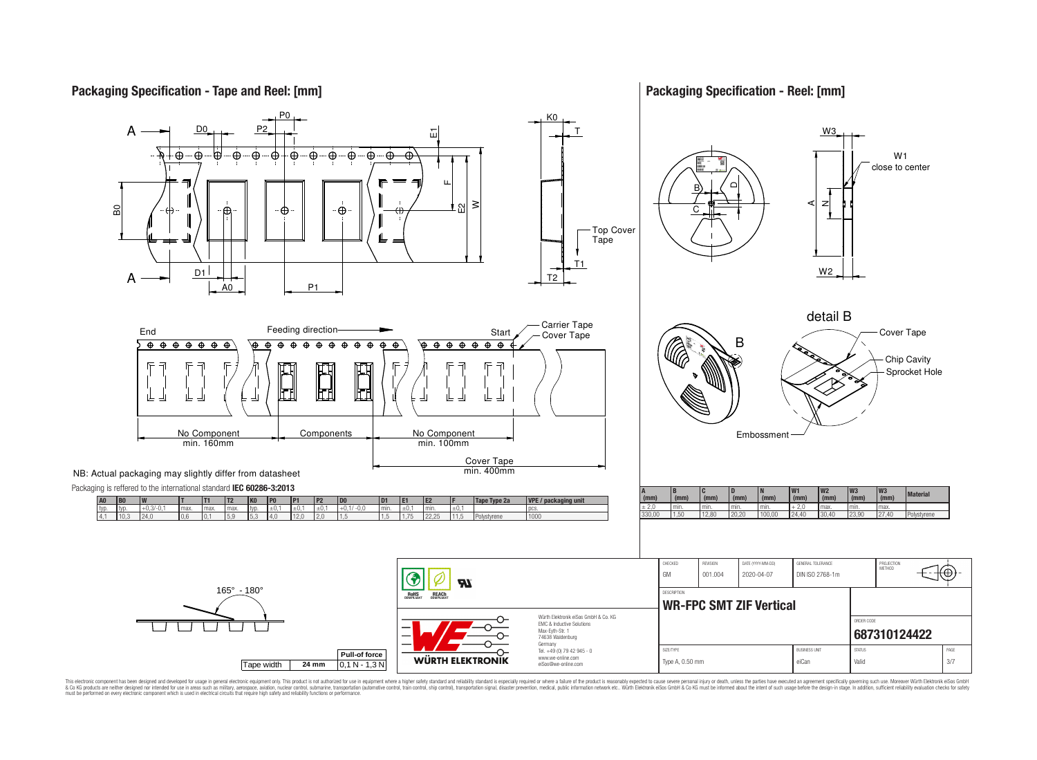**Packaging Specification - Tape and Reel: [mm]**

**Packaging Specification - Reel: [mm]**



This electronic component has been designed and developed for usage in general electronic equipment only. This product is not authorized for use in equipment where a higher safely standard and reliability standard si espec & Ook product a label and the membed of the seasuch as marked and as which such a membed and the such assume that income in the seasuch and the simulation and the such assume that include to the such a membed and the such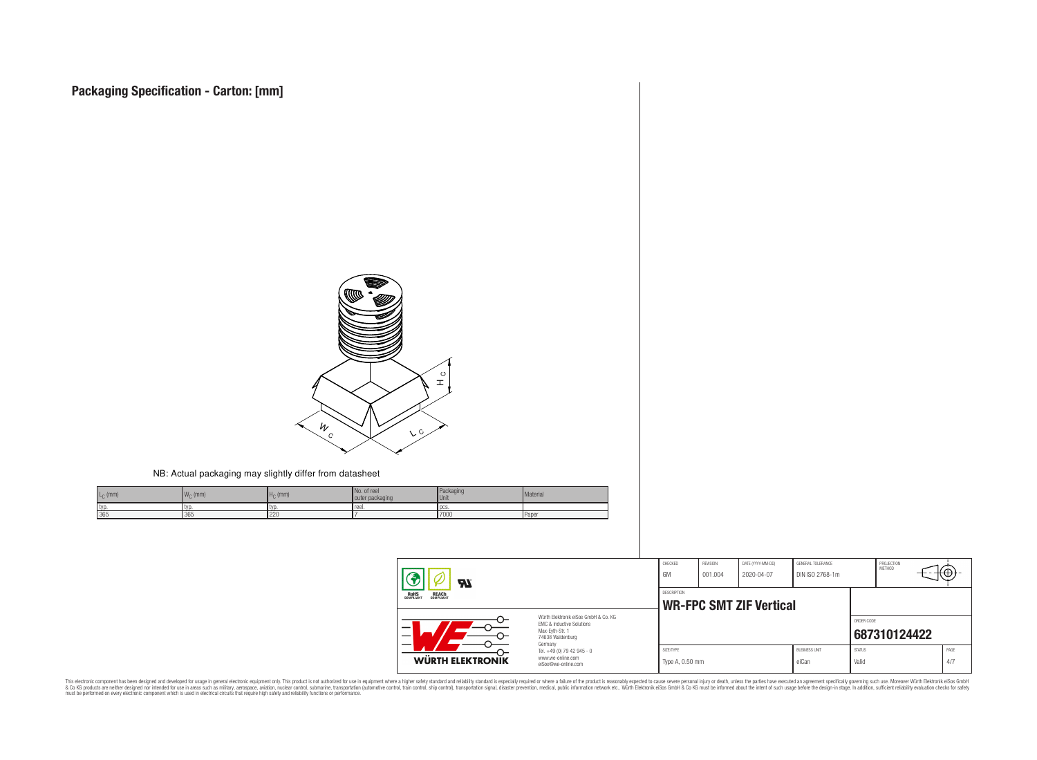

#### NB: Actual packaging may slightly differ from datasheet

| $L_{\rm C}$ (mm) | $\overline{M}$<br>$W_{\cap}$ (mm) | $Hc$ (mm) | No. of reel<br>outer packaging | Packaging<br><b>Unit</b> | Material |
|------------------|-----------------------------------|-----------|--------------------------------|--------------------------|----------|
| I typ.           | I lyd                             | I IVL     | reel.                          | l DCS                    |          |
| 365              | 365                               | 220       |                                | 7000                     | l Paper  |

| <b>R</b>                                              |                                                                                                                     | CHECKED<br>GM                | REVISION<br>001.004 | DATE (YYYY-MM-DD)<br>2020-04-07 | GENERAL TOLERANCE<br>DIN ISO 2768-1m |                        | PROJECTION<br>METHOD | ιΨ          |
|-------------------------------------------------------|---------------------------------------------------------------------------------------------------------------------|------------------------------|---------------------|---------------------------------|--------------------------------------|------------------------|----------------------|-------------|
| <b>ROHS</b><br>COMPLIANT<br><b>REACH</b><br>COMPLIANT |                                                                                                                     | DESCRIPTION                  |                     | <b>WR-FPC SMT ZIF Vertical</b>  |                                      |                        |                      |             |
| —                                                     | Würth Elektronik eiSos GmbH & Co. KG<br>EMC & Inductive Solutions<br>Max-Eyth-Str. 1<br>74638 Waldenburg<br>Germany |                              |                     |                                 |                                      | ORDER CODE             | 687310124422         |             |
| WÜRTH ELEKTRONIK                                      | Tel. +49 (0) 79 42 945 - 0<br>www.we-online.com<br>eiSos@we-online.com                                              | SIZE/TYPE<br>Type A, 0.50 mm |                     |                                 | <b>BUSINESS UNIT</b><br>eiCan        | <b>STATUS</b><br>Valid |                      | PAGE<br>4/7 |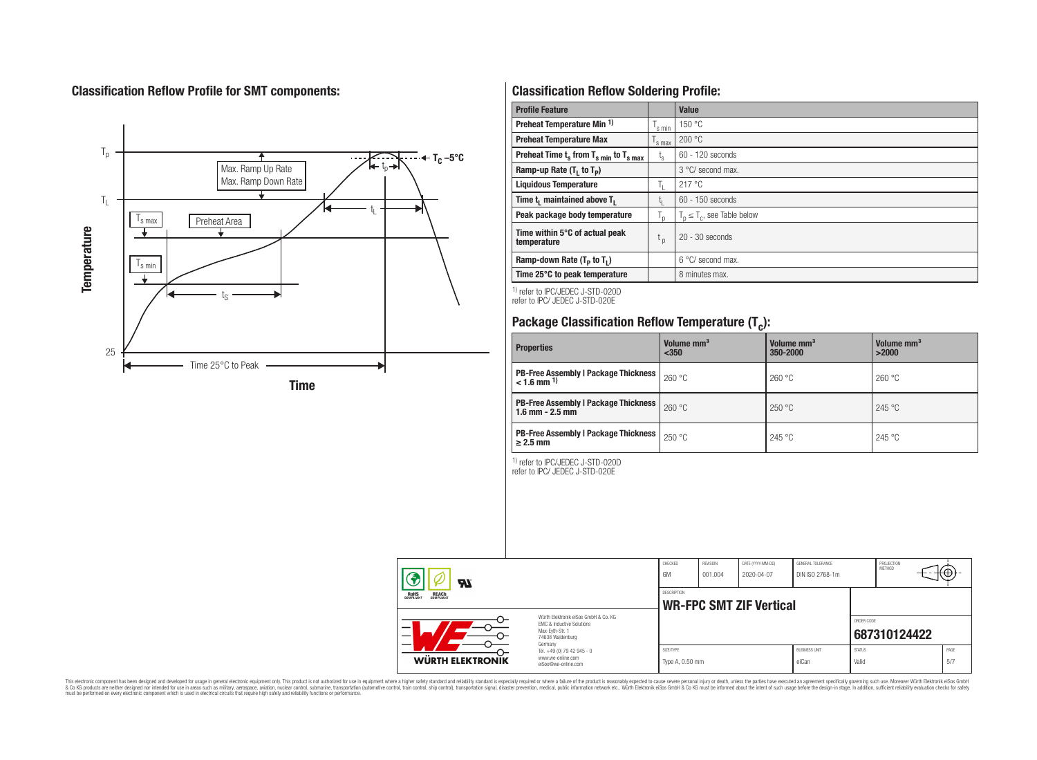# **Classification Reflow Profile for SMT components:**



# **Classification Reflow Soldering Profile:**

| <b>Profile Feature</b>                              |                               | Value                            |
|-----------------------------------------------------|-------------------------------|----------------------------------|
| Preheat Temperature Min <sup>1)</sup>               | s min                         | 150 °C                           |
| <b>Preheat Temperature Max</b>                      | 's max                        | 200 °C                           |
| Preheat Time $t_s$ from $T_{s,min}$ to $T_{s,max}$  | $t_{s}$                       | $60 - 120$ seconds               |
| Ramp-up Rate $(T_1$ to $T_p$ )                      |                               | 3 °C/ second max.                |
| <b>Liquidous Temperature</b>                        | T.                            | 217°C                            |
| Time t <sub>1</sub> maintained above T <sub>1</sub> |                               | $60 - 150$ seconds               |
| Peak package body temperature                       | ı,                            | $T_n \leq T_c$ , see Table below |
| Time within 5°C of actual peak<br>temperature       | $\mathfrak{c}_{\mathfrak{p}}$ | $20 - 30$ seconds                |
| Ramp-down Rate $(T_p$ to $T_1$ )                    |                               | $6^{\circ}$ C/ second max.       |
| Time 25°C to peak temperature                       |                               | 8 minutes max.                   |

1) refer to IPC/JEDEC J-STD-020D refer to IPC/ JEDEC J-STD-020E

# **Package Classification Reflow Temperature (T<sup>c</sup> ):**

| <b>Properties</b>                                                         | Volume mm <sup>3</sup><br>$350$ | Volume mm <sup>3</sup><br>350-2000 | Volume mm <sup>3</sup><br>>2000 |  |  |
|---------------------------------------------------------------------------|---------------------------------|------------------------------------|---------------------------------|--|--|
| <b>PB-Free Assembly   Package Thickness  </b><br>$< 1.6$ mm <sup>1)</sup> | 260 °C                          | 260 °C                             | 260 °C                          |  |  |
| <b>PB-Free Assembly   Package Thickness  </b><br>$1.6$ mm $- 2.5$ mm      | 260 °C                          | 250 °C                             | 245 °C                          |  |  |
| <b>PB-Free Assembly   Package Thickness  </b><br>$\geq$ 2.5 mm            | 250 °C                          | 245 °C                             | 245 °C                          |  |  |

1) refer to IPC/JEDEC J-STD-020D refer to IPC/ JEDEC J-STD-020E

| Яľ                                                                                                                                                                                |                                                                        | CHECKED<br>GM                                 | <b>REVISION</b><br>001.004 | DATE (YYYY-MM-DD)<br>2020-04-07 | GENERAL TOLERANCE<br>DIN ISO 2768-1m |                        | PROJECTION<br>METHOD | ιťΨ         |  |
|-----------------------------------------------------------------------------------------------------------------------------------------------------------------------------------|------------------------------------------------------------------------|-----------------------------------------------|----------------------------|---------------------------------|--------------------------------------|------------------------|----------------------|-------------|--|
| <b>ROHS</b><br>COMPLIANT<br><b>REACH</b><br>COMPLIANT<br>Würth Elektronik eiSos GmbH & Co. KG<br>EMC & Inductive Solutions<br>–<br>Max-Evth-Str. 1<br>74638 Waldenburg<br>Germany |                                                                        | DESCRIPTION<br><b>WR-FPC SMT ZIF Vertical</b> |                            |                                 |                                      |                        |                      |             |  |
|                                                                                                                                                                                   |                                                                        |                                               |                            |                                 |                                      | ORDER CODE             | 687310124422         |             |  |
| <b>WÜRTH ELEKTRONIK</b>                                                                                                                                                           | Tel. +49 (0) 79 42 945 - 0<br>www.we-online.com<br>eiSos@we-online.com | SIZE/TYPE<br>Type A, 0.50 mm                  |                            |                                 | <b>BUSINESS UNIT</b><br>eiCan        | <b>STATUS</b><br>Valid |                      | PAGE<br>5/7 |  |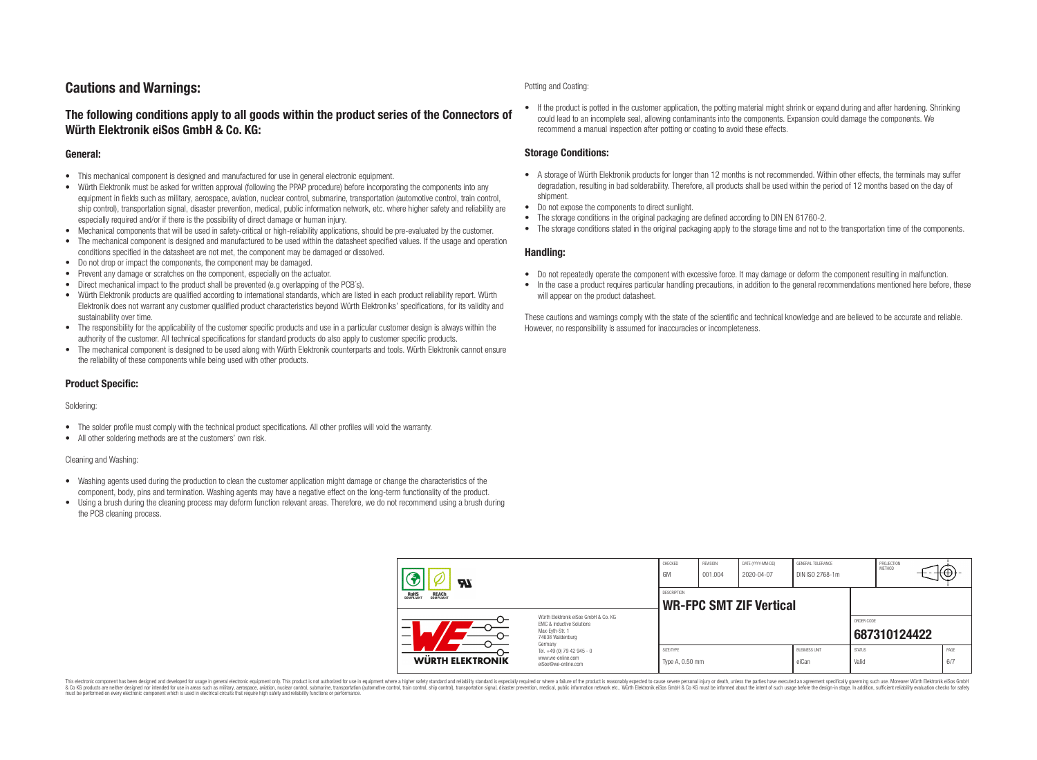# **Cautions and Warnings:**

## **The following conditions apply to all goods within the product series of the Connectors of Würth Elektronik eiSos GmbH & Co. KG:**

### **General:**

- This mechanical component is designed and manufactured for use in general electronic equipment.
- Würth Elektronik must be asked for written approval (following the PPAP procedure) before incorporating the components into any equipment in fields such as military, aerospace, aviation, nuclear control, submarine, transportation (automotive control, train control, ship control), transportation signal, disaster prevention, medical, public information network, etc. where higher safety and reliability are especially required and/or if there is the possibility of direct damage or human injury.
- Mechanical components that will be used in safety-critical or high-reliability applications, should be pre-evaluated by the customer.
- The mechanical component is designed and manufactured to be used within the datasheet specified values. If the usage and operation conditions specified in the datasheet are not met, the component may be damaged or dissolved.
- Do not drop or impact the components, the component may be damaged.
- Prevent any damage or scratches on the component, especially on the actuator.
- Direct mechanical impact to the product shall be prevented (e.g overlapping of the PCB's).
- Würth Elektronik products are qualified according to international standards, which are listed in each product reliability report. Würth Elektronik does not warrant any customer qualified product characteristics beyond Würth Elektroniks' specifications, for its validity and sustainability over time.
- The responsibility for the applicability of the customer specific products and use in a particular customer design is always within the authority of the customer. All technical specifications for standard products do also apply to customer specific products.
- The mechanical component is designed to be used along with Würth Elektronik counterparts and tools. Würth Elektronik cannot ensure the reliability of these components while being used with other products.

## **Product Specific:**

#### Soldering:

- The solder profile must comply with the technical product specifications. All other profiles will void the warranty.
- All other soldering methods are at the customers' own risk.

#### Cleaning and Washing:

- Washing agents used during the production to clean the customer application might damage or change the characteristics of the component, body, pins and termination. Washing agents may have a negative effect on the long-term functionality of the product.
- Using a brush during the cleaning process may deform function relevant areas. Therefore, we do not recommend using a brush during the PCB cleaning process.

#### Potting and Coating:

• If the product is potted in the customer application, the potting material might shrink or expand during and after hardening. Shrinking could lead to an incomplete seal, allowing contaminants into the components. Expansion could damage the components. We recommend a manual inspection after potting or coating to avoid these effects.

## **Storage Conditions:**

- A storage of Würth Elektronik products for longer than 12 months is not recommended. Within other effects, the terminals may suffer degradation, resulting in bad solderability. Therefore, all products shall be used within the period of 12 months based on the day of shipment.
- Do not expose the components to direct sunlight.
- The storage conditions in the original packaging are defined according to DIN EN 61760-2.
- The storage conditions stated in the original packaging apply to the storage time and not to the transportation time of the components.

### **Handling:**

- Do not repeatedly operate the component with excessive force. It may damage or deform the component resulting in malfunction.
- In the case a product requires particular handling precautions, in addition to the general recommendations mentioned here before, these will appear on the product datasheet.

These cautions and warnings comply with the state of the scientific and technical knowledge and are believed to be accurate and reliable. However, no responsibility is assumed for inaccuracies or incompleteness.

| Hī<br>ROHS<br>COMPLIANT<br><b>REACH</b><br>COMPLIANT<br>Würth Flektronik eiSos GmbH & Co. KG<br>FMC & Inductive Solutions<br>-<br>Max-Eyth-Str. 1<br>74638 Waldenburg |                                                                                   | CHECKED<br>GM                                        | <b>REVISION</b><br>001.004 | DATE (YYYY-MM-DD)<br>2020-04-07 | GENERAL TOLERANCE<br>DIN ISO 2768-1m |                        | PROJECTION<br><b>METHOD</b> |  | ₩           |
|-----------------------------------------------------------------------------------------------------------------------------------------------------------------------|-----------------------------------------------------------------------------------|------------------------------------------------------|----------------------------|---------------------------------|--------------------------------------|------------------------|-----------------------------|--|-------------|
|                                                                                                                                                                       |                                                                                   | <b>DESCRIPTION</b><br><b>WR-FPC SMT ZIF Vertical</b> |                            |                                 |                                      |                        |                             |  |             |
|                                                                                                                                                                       |                                                                                   |                                                      |                            |                                 |                                      | ORDER CODE             | 687310124422                |  |             |
| WÜRTH ELEKTRONIK                                                                                                                                                      | Germany<br>Tel. +49 (0) 79 42 945 - 0<br>www.we-online.com<br>eiSos@we-online.com | SIZE/TYPE<br>Type A, 0.50 mm                         |                            |                                 | <b>BUSINESS UNIT</b><br>eiCan        | <b>STATUS</b><br>Valid |                             |  | PAGE<br>6/7 |

This electronic component has been designed and developed for usage in general electronic equipment only. This product is not authorized for use in equipment where a higher safety standard and reliability standard si espec & Ook product a label and the membed of the seasuch as marked and as which such a membed and the such assume that income in the seasuch and the simulation and the such assume that include to the such a membed and the such